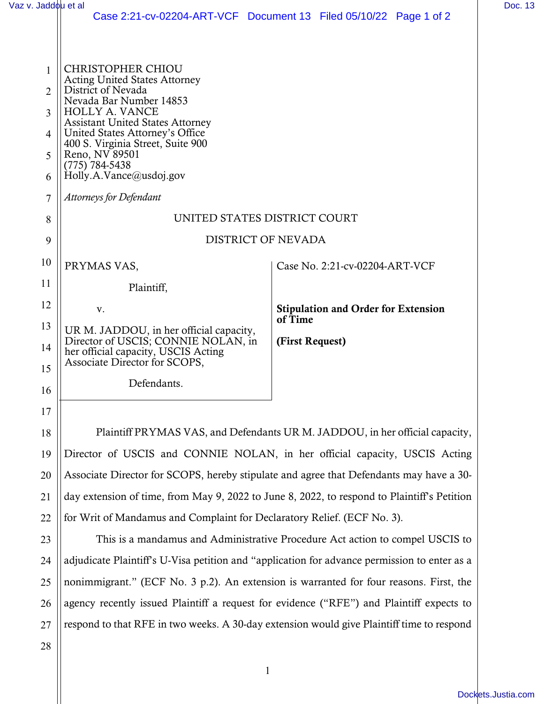| Vaz v. Jaddou et al |                                                                              |                                                                   | Doc. 13 |
|---------------------|------------------------------------------------------------------------------|-------------------------------------------------------------------|---------|
|                     |                                                                              | Case 2:21-cv-02204-ART-VCF Document 13 Filed 05/10/22 Page 1 of 2 |         |
|                     |                                                                              |                                                                   |         |
|                     |                                                                              |                                                                   |         |
| 1                   | <b>CHRISTOPHER CHIOU</b>                                                     |                                                                   |         |
| 2                   | <b>Acting United States Attorney</b><br>District of Nevada                   |                                                                   |         |
| 3                   | Nevada Bar Number 14853<br><b>HOLLY A. VANCE</b>                             |                                                                   |         |
|                     | <b>Assistant United States Attorney</b>                                      |                                                                   |         |
| 4                   | United States Attorney's Office<br>400 S. Virginia Street, Suite 900         |                                                                   |         |
| 5                   | Reno, NV 89501                                                               |                                                                   |         |
| 6                   | $(775) 784 - 5438$<br>Holly.A.Vance@usdoj.gov                                |                                                                   |         |
| 7                   | <b>Attorneys for Defendant</b>                                               |                                                                   |         |
|                     |                                                                              |                                                                   |         |
| 8                   | UNITED STATES DISTRICT COURT                                                 |                                                                   |         |
| 9                   | <b>DISTRICT OF NEVADA</b>                                                    |                                                                   |         |
| 10                  | PRYMAS VAS,                                                                  | Case No. 2:21-cv-02204-ART-VCF                                    |         |
| 11                  | Plaintiff,                                                                   |                                                                   |         |
| 12                  | V.                                                                           | <b>Stipulation and Order for Extension</b>                        |         |
| 13                  | UR M. JADDOU, in her official capacity,                                      | of Time                                                           |         |
| 14                  | Director of USCIS; CONNIE NOLAN, in                                          | (First Request)                                                   |         |
|                     | her official capacity, USCIS Acting<br>Associate Director for SCOPS,         |                                                                   |         |
| 15                  |                                                                              |                                                                   |         |
| 16                  | Defendants                                                                   |                                                                   |         |
| 17                  |                                                                              |                                                                   |         |
| 18                  | Plaintiff PRYMAS VAS, and Defendants UR M. JADDOU, in her official capacity, |                                                                   |         |
|                     |                                                                              |                                                                   |         |
| 19                  | Director of USCIS and CONNIE NOLAN, in her official capacity, USCIS Acting   |                                                                   |         |

20 21 22 Director of USCIS and CONNIE NOLAN, in her official capacity, USCIS Acting Associate Director for SCOPS, hereby stipulate and agree that Defendants may have a 30 day extension of time, from May 9, 2022 to June 8, 2022, to respond to Plaintiff's Petition for Writ of Mandamus and Complaint for Declaratory Relief. (ECF No. 3).

23 24 25 26 27 This is a mandamus and Administrative Procedure Act action to compel USCIS to adjudicate Plaintiff's U-Visa petition and "application for advance permission to enter as a nonimmigrant." (ECF No. 3 p.2). An extension is warranted for four reasons. First, the agency recently issued Plaintiff a request for evidence ("RFE") and Plaintiff expects to respond to that RFE in two weeks. A 30-day extension would give Plaintiff time to respond

28